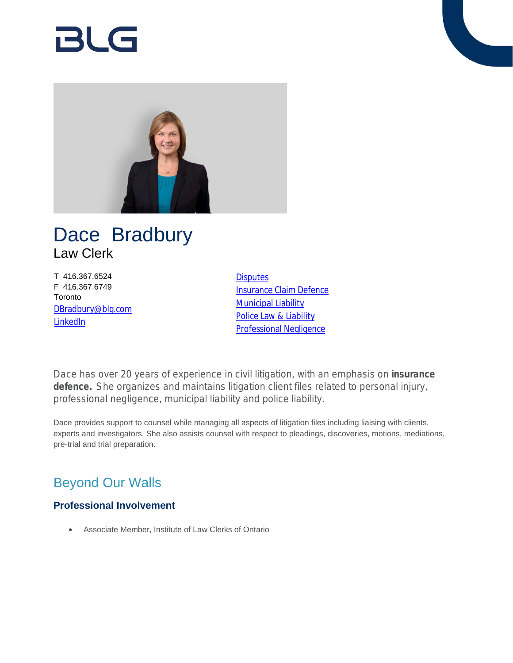# Bl G



## Dace Bradbury Law Clerk

T 416.367.6524 F 416.367.6749 Toronto [DBradbury@blg.com](mailto:DBradbury@blg.com) [LinkedIn](https://www.linkedin.com/in/dacebradbury)

**[Disputes](https://www.blg.com/en/services/practice-areas/disputes)** [Insurance Claim Defence](https://www.blg.com/en/services/practice-areas/disputes/insurance-claim-defence) **[Municipal Liability](https://www.blg.com/en/services/practice-areas/disputes/municipal-liability)** [Police Law & Liability](https://www.blg.com/en/services/practice-areas/disputes/police-law-liability) [Professional Negligence](https://www.blg.com/en/services/practice-areas/disputes/professional-negligence)

Dace has over 20 years of experience in civil litigation, with an emphasis on **insurance defence.** She organizes and maintains litigation client files related to personal injury, professional negligence, municipal liability and police liability.

Dace provides support to counsel while managing all aspects of litigation files including liaising with clients, experts and investigators. She also assists counsel with respect to pleadings, discoveries, motions, mediations, pre-trial and trial preparation.

## Beyond Our Walls

### **Professional Involvement**

Associate Member, Institute of Law Clerks of Ontario